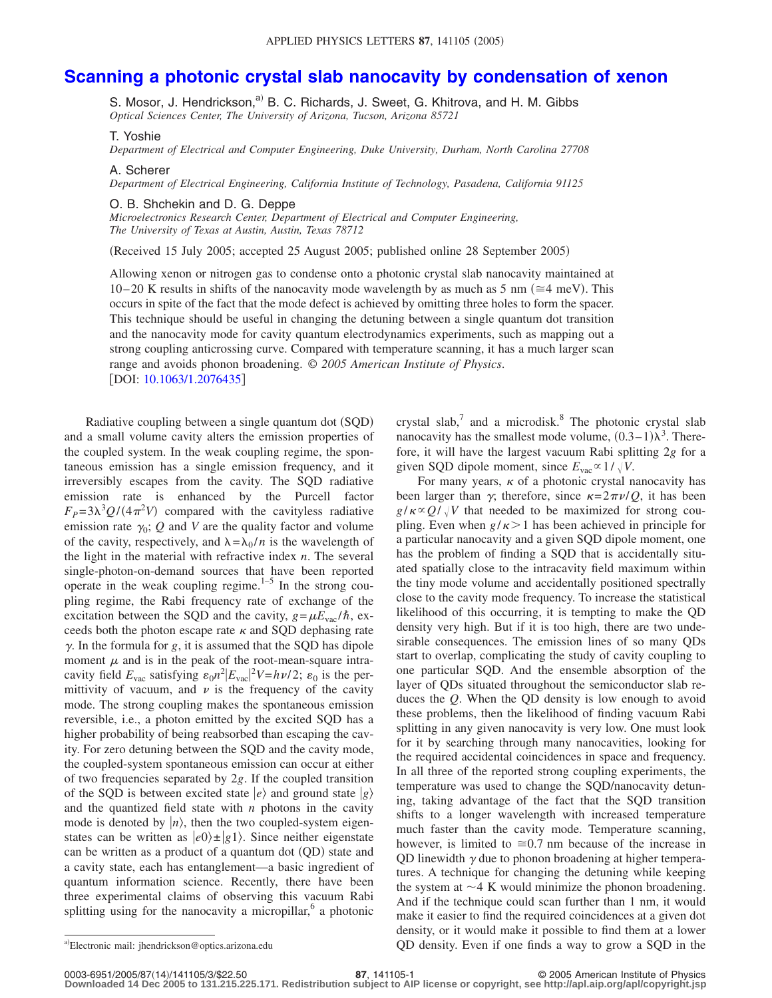## **[Scanning a photonic crystal slab nanocavity by condensation of xenon](http://dx.doi.org/10.1063/1.2076435)**

S. Mosor, J. Hendrickson,<sup>a)</sup> B. C. Richards, J. Sweet, G. Khitrova, and H. M. Gibbs *Optical Sciences Center, The University of Arizona, Tucson, Arizona 85721*

T. Yoshie

*Department of Electrical and Computer Engineering, Duke University, Durham, North Carolina 27708*

A. Scherer

*Department of Electrical Engineering, California Institute of Technology, Pasadena, California 91125*

O. B. Shchekin and D. G. Deppe

*Microelectronics Research Center, Department of Electrical and Computer Engineering, The University of Texas at Austin, Austin, Texas 78712*

Received 15 July 2005; accepted 25 August 2005; published online 28 September 2005-

Allowing xenon or nitrogen gas to condense onto a photonic crystal slab nanocavity maintained at 10–20 K results in shifts of the nanocavity mode wavelength by as much as 5 nm ( $\approx$ 4 meV). This occurs in spite of the fact that the mode defect is achieved by omitting three holes to form the spacer. This technique should be useful in changing the detuning between a single quantum dot transition and the nanocavity mode for cavity quantum electrodynamics experiments, such as mapping out a strong coupling anticrossing curve. Compared with temperature scanning, it has a much larger scan range and avoids phonon broadening. © *2005 American Institute of Physics*. [DOI: [10.1063/1.2076435](http://dx.doi.org/10.1063/1.2076435)]

Radiative coupling between a single quantum dot (SQD) and a small volume cavity alters the emission properties of the coupled system. In the weak coupling regime, the spontaneous emission has a single emission frequency, and it irreversibly escapes from the cavity. The SQD radiative emission rate is enhanced by the Purcell factor  $F_P = 3\lambda^3 Q/(4\pi^2 V)$  compared with the cavityless radiative emission rate  $\gamma_0$ ; *Q* and *V* are the quality factor and volume of the cavity, respectively, and  $\lambda = \lambda_0 / n$  is the wavelength of the light in the material with refractive index *n*. The several single-photon-on-demand sources that have been reported operate in the weak coupling regime. $1-5$  In the strong coupling regime, the Rabi frequency rate of exchange of the excitation between the SQD and the cavity,  $g = \mu E_{\text{vac}} / \hbar$ , exceeds both the photon escape rate  $\kappa$  and SQD dephasing rate  $\gamma$ . In the formula for *g*, it is assumed that the SQD has dipole moment  $\mu$  and is in the peak of the root-mean-square intracavity field  $E_{\text{vac}}$  satisfying  $\varepsilon_0 n^2 |E_{\text{vac}}|^2 V = h\nu/2$ ;  $\varepsilon_0$  is the permittivity of vacuum, and  $\nu$  is the frequency of the cavity mode. The strong coupling makes the spontaneous emission reversible, i.e., a photon emitted by the excited SQD has a higher probability of being reabsorbed than escaping the cavity. For zero detuning between the SQD and the cavity mode, the coupled-system spontaneous emission can occur at either of two frequencies separated by 2*g*. If the coupled transition of the SQD is between excited state  $|e\rangle$  and ground state  $|g\rangle$ and the quantized field state with *n* photons in the cavity mode is denoted by  $|n\rangle$ , then the two coupled-system eigenstates can be written as  $|e0\rangle \pm |g1\rangle$ . Since neither eigenstate can be written as a product of a quantum dot (QD) state and a cavity state, each has entanglement—a basic ingredient of quantum information science. Recently, there have been three experimental claims of observing this vacuum Rabi splitting using for the nanocavity a micropillar, $6$  a photonic

crystal slab, $\frac{7}{1}$  and a microdisk.<sup>8</sup> The photonic crystal slab nanocavity has the smallest mode volume,  $(0.3-1)\lambda^3$ . Therefore, it will have the largest vacuum Rabi splitting 2*g* for a given SQD dipole moment, since  $E_{\text{vac}} \propto 1/\sqrt{V}$ .

For many years,  $\kappa$  of a photonic crystal nanocavity has been larger than  $\gamma$ ; therefore, since  $\kappa = 2\pi \nu/Q$ , it has been  $g/\kappa \propto Q/\sqrt{V}$  that needed to be maximized for strong coupling. Even when  $g/\kappa > 1$  has been achieved in principle for a particular nanocavity and a given SQD dipole moment, one has the problem of finding a SOD that is accidentally situated spatially close to the intracavity field maximum within the tiny mode volume and accidentally positioned spectrally close to the cavity mode frequency. To increase the statistical likelihood of this occurring, it is tempting to make the QD density very high. But if it is too high, there are two undesirable consequences. The emission lines of so many QDs start to overlap, complicating the study of cavity coupling to one particular SQD. And the ensemble absorption of the layer of QDs situated throughout the semiconductor slab reduces the *Q*. When the QD density is low enough to avoid these problems, then the likelihood of finding vacuum Rabi splitting in any given nanocavity is very low. One must look for it by searching through many nanocavities, looking for the required accidental coincidences in space and frequency. In all three of the reported strong coupling experiments, the temperature was used to change the SQD/nanocavity detuning, taking advantage of the fact that the SQD transition shifts to a longer wavelength with increased temperature much faster than the cavity mode. Temperature scanning, however, is limited to  $\approx 0.7$  nm because of the increase in QD linewidth  $\gamma$  due to phonon broadening at higher temperatures. A technique for changing the detuning while keeping the system at  $\sim$ 4 K would minimize the phonon broadening. And if the technique could scan further than 1 nm, it would make it easier to find the required coincidences at a given dot density, or it would make it possible to find them at a lower QD density. Even if one finds a way to grow a SQD in the

Electronic mail: jhendrickson@optics.arizona.edu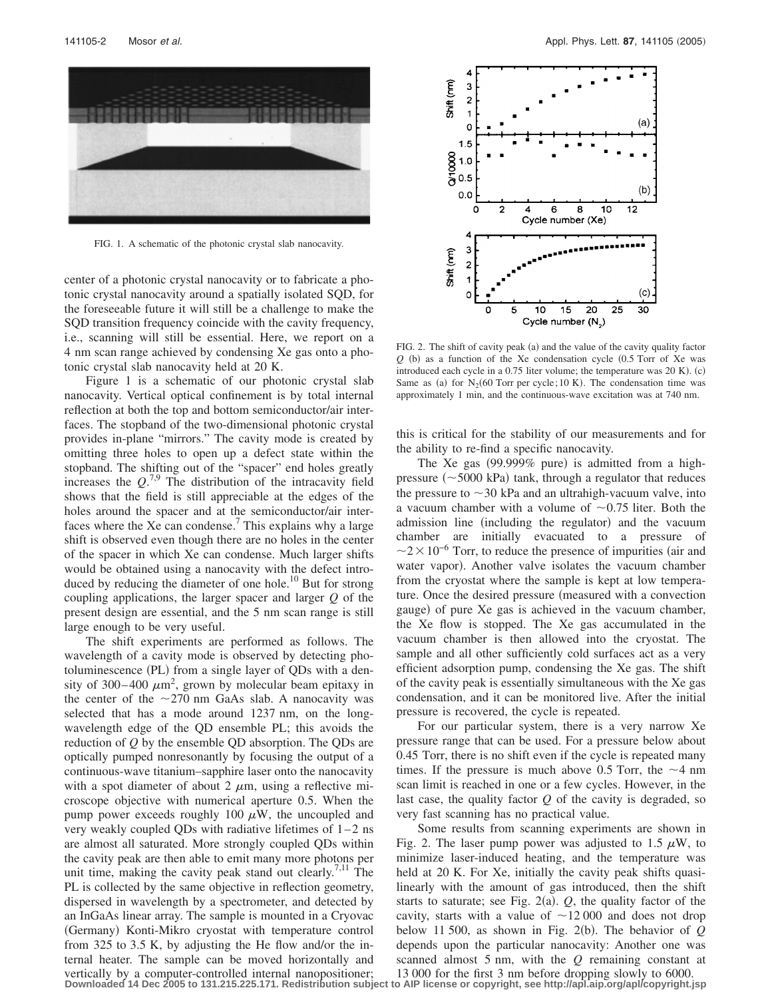

FIG. 1. A schematic of the photonic crystal slab nanocavity.

center of a photonic crystal nanocavity or to fabricate a photonic crystal nanocavity around a spatially isolated SQD, for the foreseeable future it will still be a challenge to make the SQD transition frequency coincide with the cavity frequency, i.e., scanning will still be essential. Here, we report on a 4 nm scan range achieved by condensing Xe gas onto a photonic crystal slab nanocavity held at 20 K.

Figure 1 is a schematic of our photonic crystal slab nanocavity. Vertical optical confinement is by total internal reflection at both the top and bottom semiconductor/air interfaces. The stopband of the two-dimensional photonic crystal provides in-plane "mirrors." The cavity mode is created by omitting three holes to open up a defect state within the stopband. The shifting out of the "spacer" end holes greatly increases the  $Q^{7,9}$ . The distribution of the intracavity field shows that the field is still appreciable at the edges of the holes around the spacer and at the semiconductor/air interfaces where the Xe can condense.<sup>7</sup> This explains why a large shift is observed even though there are no holes in the center of the spacer in which Xe can condense. Much larger shifts would be obtained using a nanocavity with the defect introduced by reducing the diameter of one hole.<sup>10</sup> But for strong coupling applications, the larger spacer and larger *Q* of the present design are essential, and the 5 nm scan range is still large enough to be very useful.

The shift experiments are performed as follows. The wavelength of a cavity mode is observed by detecting photoluminescence (PL) from a single layer of QDs with a density of 300–400  $\mu$ m<sup>2</sup>, grown by molecular beam epitaxy in the center of the  $\sim$ 270 nm GaAs slab. A nanocavity was selected that has a mode around 1237 nm, on the longwavelength edge of the QD ensemble PL; this avoids the reduction of *Q* by the ensemble QD absorption. The QDs are optically pumped nonresonantly by focusing the output of a continuous-wave titanium–sapphire laser onto the nanocavity with a spot diameter of about 2  $\mu$ m, using a reflective microscope objective with numerical aperture 0.5. When the pump power exceeds roughly 100  $\mu$ W, the uncoupled and very weakly coupled QDs with radiative lifetimes of 1–2 ns are almost all saturated. More strongly coupled QDs within the cavity peak are then able to emit many more photons per unit time, making the cavity peak stand out clearly.<sup>7,11</sup> The PL is collected by the same objective in reflection geometry, dispersed in wavelength by a spectrometer, and detected by an InGaAs linear array. The sample is mounted in a Cryovac (Germany) Konti-Mikro cryostat with temperature control from 325 to 3.5 K, by adjusting the He flow and/or the internal heater. The sample can be moved horizontally and vertically by a computer-controlled internal nanopositioner;



FIG. 2. The shift of cavity peak (a) and the value of the cavity quality factor  $Q$  (b) as a function of the Xe condensation cycle  $(0.5$  Torr of Xe was introduced each cycle in a 0.75 liter volume; the temperature was 20 K). (c) Same as (a) for  $N_2(60$  Torr per cycle; 10 K). The condensation time was approximately 1 min, and the continuous-wave excitation was at 740 nm.

this is critical for the stability of our measurements and for the ability to re-find a specific nanocavity.

The Xe gas (99.999% pure) is admitted from a highpressure  $(\sim 5000 \text{ kPa})$  tank, through a regulator that reduces the pressure to  $\sim$ 30 kPa and an ultrahigh-vacuum valve, into a vacuum chamber with a volume of  $\sim 0.75$  liter. Both the admission line (including the regulator) and the vacuum chamber are initially evacuated to a pressure of  $\sim$ 2 $\times$ 10<sup>-6</sup> Torr, to reduce the presence of impurities (air and water vapor). Another valve isolates the vacuum chamber from the cryostat where the sample is kept at low temperature. Once the desired pressure (measured with a convection gauge) of pure Xe gas is achieved in the vacuum chamber, the Xe flow is stopped. The Xe gas accumulated in the vacuum chamber is then allowed into the cryostat. The sample and all other sufficiently cold surfaces act as a very efficient adsorption pump, condensing the Xe gas. The shift of the cavity peak is essentially simultaneous with the Xe gas condensation, and it can be monitored live. After the initial pressure is recovered, the cycle is repeated.

For our particular system, there is a very narrow Xe pressure range that can be used. For a pressure below about 0.45 Torr, there is no shift even if the cycle is repeated many times. If the pressure is much above 0.5 Torr, the  $\sim$ 4 nm scan limit is reached in one or a few cycles. However, in the last case, the quality factor *Q* of the cavity is degraded, so very fast scanning has no practical value.

Some results from scanning experiments are shown in Fig. 2. The laser pump power was adjusted to 1.5  $\mu$ W, to minimize laser-induced heating, and the temperature was held at 20 K. For Xe, initially the cavity peak shifts quasilinearly with the amount of gas introduced, then the shift starts to saturate; see Fig.  $2(a)$ .  $Q$ , the quality factor of the cavity, starts with a value of  $\sim$  12 000 and does not drop below 11 500, as shown in Fig. 2(b). The behavior of  $Q$ depends upon the particular nanocavity: Another one was scanned almost 5 nm, with the *Q* remaining constant at 13 000 for the first 3 nm before dropping slowly to 6000.

**Downloaded 14 Dec 2005 to 131.215.225.171. Redistribution subject to AIP license or copyright, see http://apl.aip.org/apl/copyright.jsp**